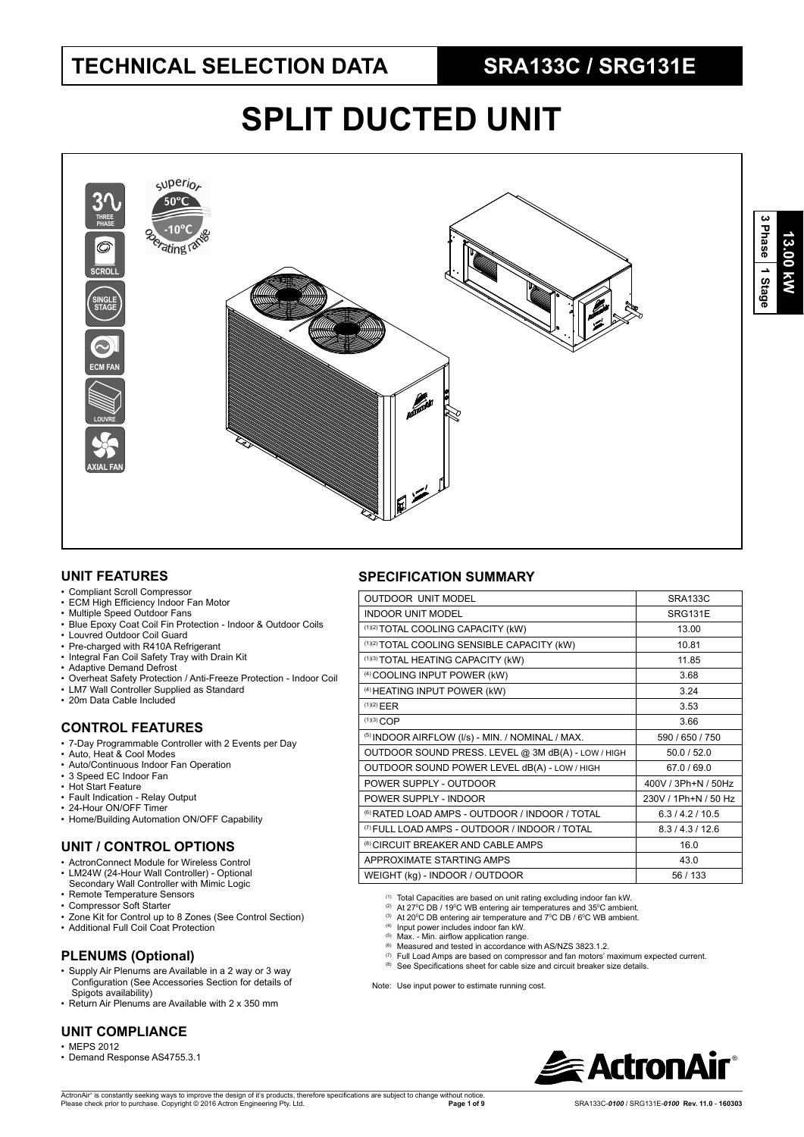# **SPLIT DUCTED UNIT**



#### **UNIT FEATURES**

- Compliant Scroll Compressor
- ECM High Efficiency Indoor Fan Motor
- Multiple Speed Outdoor Fans
- Blue Epoxy Coat Coil Fin Protection Indoor & Outdoor Coils
- Louvred Outdoor Coil Guard
- Pre-charged with R410A Refrigerant
- Integral Fan Coil Safety Tray with Drain Kit
- Adaptive Demand Defrost
- Overheat Safety Protection / Anti-Freeze Protection Indoor Coil • LM7 Wall Controller Supplied as Standard
- 20m Data Cable Included
- 

#### **CONTROL FEATURES**

- 7-Day Programmable Controller with 2 Events per Day
- Auto, Heat & Cool Modes
- Auto/Continuous Indoor Fan Operation
- 3 Speed EC Indoor Fan • Hot Start Feature
- Fault Indication Relay Output
- 24-Hour ON/OFF Timer
- Home/Building Automation ON/OFF Capability

#### **UNIT / CONTROL OPTIONS**

- ActronConnect Module for Wireless Control
- LM24W (24-Hour Wall Controller) Optional Secondary Wall Controller with Mimic Logic
- Remote Temperature Sensors • Compressor Soft Starter
- 
- Zone Kit for Control up to 8 Zones (See Control Section) • Additional Full Coil Coat Protection
- 

#### **PLENUMS (Optional)**

- Supply Air Plenums are Available in a 2 way or 3 way Configuration (See Accessories Section for details of Spigots availability)
- Return Air Plenums are Available with 2 x 350 mm

#### **UNIT COMPLIANCE**

- MEPS 2012
- Demand Response AS4755.3.1

#### **SPECIFICATION SUMMARY**

| <b>OUTDOOR UNIT MODEL</b>                                 | <b>SRA133C</b>       |
|-----------------------------------------------------------|----------------------|
| <b>INDOOR UNIT MODEL</b>                                  | SRG131E              |
| (1)(2) TOTAL COOLING CAPACITY (kW)                        | 13.00                |
| (1)(2) TOTAL COOLING SENSIBLE CAPACITY (kW)               | 10.81                |
| (1)(3) TOTAL HEATING CAPACITY (kW)                        | 11.85                |
| (4) COOLING INPUT POWER (kW)                              | 3.68                 |
| (4) HEATING INPUT POWER (kW)                              | 3 24                 |
| (1)(2) EER                                                | 3.53                 |
| $(1)(3)$ COP                                              | 3.66                 |
| (5) INDOOR AIRFLOW (I/s) - MIN. / NOMINAL / MAX.          | 590 / 650 / 750      |
| OUTDOOR SOUND PRESS. LEVEL @ 3M dB(A) - LOW / HIGH        | 50.0 / 52.0          |
| OUTDOOR SOUND POWER LEVEL dB(A) - LOW / HIGH              | 67.0 / 69.0          |
| POWER SUPPLY - OUTDOOR                                    | 400V / 3Ph+N / 50Hz  |
| POWER SUPPLY - INDOOR                                     | 230V / 1Ph+N / 50 Hz |
| <sup>(6)</sup> RATED LOAD AMPS - OUTDOOR / INDOOR / TOTAL | 6.3/4.2/10.5         |
| <sup>(7)</sup> FULL LOAD AMPS - OUTDOOR / INDOOR / TOTAL  | 8.3/4.3/12.6         |
| <sup>(8)</sup> CIRCUIT BREAKER AND CABLE AMPS             | 16.0                 |
| APPROXIMATE STARTING AMPS                                 | 43.0                 |
| WEIGHT (kg) - INDOOR / OUTDOOR                            | 56 / 133             |
|                                                           |                      |

- <sup>(1)</sup> Total Capacities are based on unit rating excluding indoor fan kW.<br><sup>(2)</sup> At 27ºC DB / 19ºC WB entering air temperatures and 35ºC ambient.<br><sup>(3)</sup> At 20ºC DB entering air temperature and 7ºC DB / 6ºC WB ambient.
- 

(4) Input power includes indoor fan kW.<br>(5) Max. - Min. airflow application range.

- - $^{(6)}$  Measured and tested in accordance with AS/NZS 3823.1.2.<br> $^{(7)}$  Full Load Amps are based on compressor and fan motors' maximum expected current.
	- (8) See Specifications sheet for cable size and circuit breaker size details.

Note: Use input power to estimate running cost.

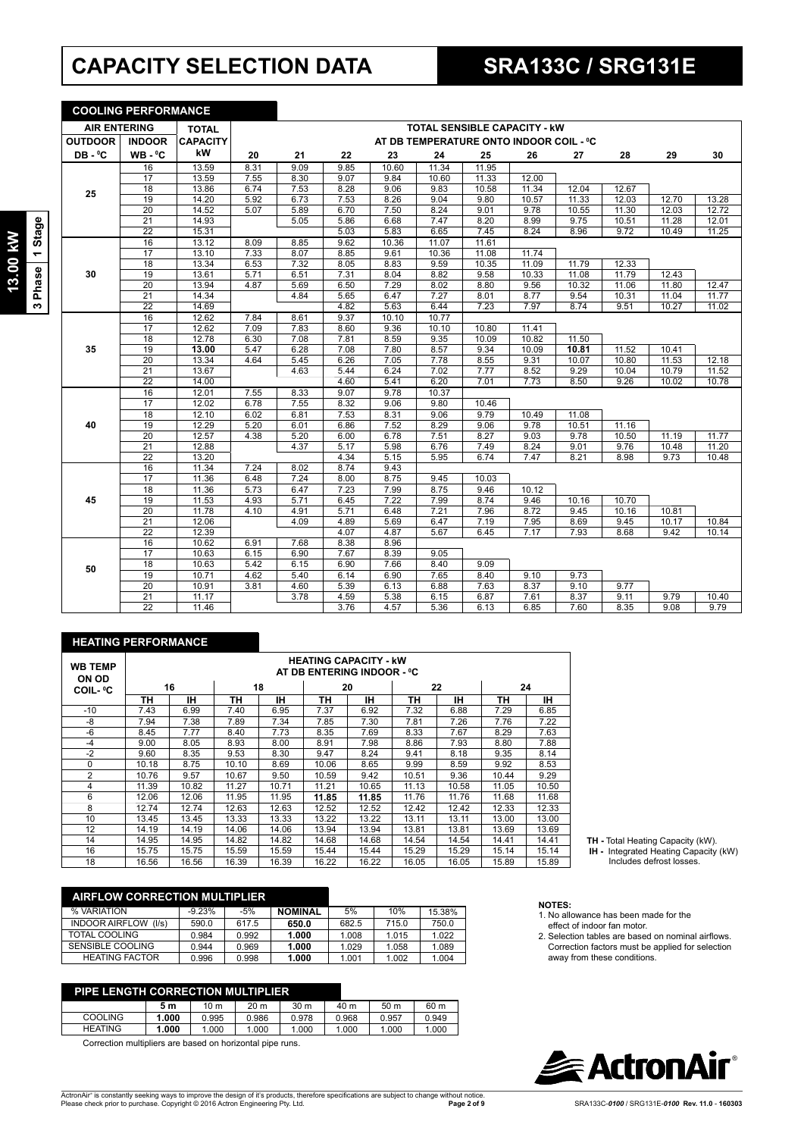## **CAPACITY SELECTION DATA SRA133C / SRG131E**

**COOLING PERFORMANCE**

| g<br>Star<br>ł, |
|-----------------|
| ase             |

| <b>AIR ENTERING</b> |                 | <b>TOTAL</b>    |              | <b>TOTAL SENSIBLE CAPACITY - KW</b>     |              |              |              |              |              |              |              |                |       |
|---------------------|-----------------|-----------------|--------------|-----------------------------------------|--------------|--------------|--------------|--------------|--------------|--------------|--------------|----------------|-------|
| <b>OUTDOOR</b>      | <b>INDOOR</b>   | <b>CAPACITY</b> |              | AT DB TEMPERATURE ONTO INDOOR COIL - °C |              |              |              |              |              |              |              |                |       |
| DB-°C               | WB-°C           | kW              | 20           | 21                                      | 22           | 23           | 24           | 25           | 26           | 27           | 28           | 29             | 30    |
|                     | 16              | 13.59           | 8.31         | 9.09                                    | 9.85         | 10.60        | 11.34        | 11.95        |              |              |              |                |       |
|                     | 17              | 13.59           | 7.55         | 8.30                                    | 9.07         | 9.84         | 10.60        | 11.33        | 12.00        |              |              |                |       |
| 25                  | 18              | 13.86           | 6.74         | 7.53                                    | 8.28         | 9.06         | 9.83         | 10.58        | 11.34        | 12.04        | 12.67        |                |       |
|                     | 19              | 14.20           | 5.92         | 6.73                                    | 7.53         | 8.26         | 9.04         | 9.80         | 10.57        | 11.33        | 12.03        | 12.70          | 13.28 |
|                     | $\overline{20}$ | 14.52           | 5.07         | 5.89                                    | 6.70         | 7.50         | 8.24         | 9.01         | 9.78         | 10.55        | 11.30        | 12.03          | 12.72 |
|                     | $\overline{21}$ | 14.93           |              | 5.05                                    | 5.86         | 6.68         | 7.47         | 8.20         | 8.99         | 9.75         | 10.51        | 11.28          | 12.01 |
|                     | $\overline{22}$ | 15.31           |              |                                         | 5.03         | 5.83         | 6.65         | 7.45         | 8.24         | 8.96         | 9.72         | 10.49          | 11.25 |
|                     | 16              | 13.12           | 8.09         | 8.85                                    | 9.62         | 10.36        | 11.07        | 11.61        |              |              |              |                |       |
|                     | 17              | 13.10           | 7.33         | 8.07                                    | 8.85         | 9.61         | 10.36        | 11.08        | 11.74        |              |              |                |       |
|                     | 18              | 13.34           | 6.53         | 7.32                                    | 8.05         | 8.83         | 9.59         | 10.35        | 11.09        | 11.79        | 12.33        |                |       |
| 30                  | 19              | 13.61           | 5.71         | 6.51                                    | 7.31         | 8.04         | 8.82         | 9.58         | 10.33        | 11.08        | 11.79        | 12.43          |       |
|                     | 20              | 13.94           | 4.87         | 5.69                                    | 6.50         | 7.29         | 8.02         | 8.80         | 9.56         | 10.32        | 11.06        | 11.80          | 12.47 |
|                     | 21              | 14.34           |              | 4.84                                    | 5.65         | 6.47         | 7.27         | 8.01         | 8.77         | 9.54         | 10.31        | 11.04          | 11.77 |
|                     | $\overline{22}$ | 14.69           |              |                                         | 4.82         | 5.63         | 6.44         | 7.23         | 7.97         | 8.74         | 9.51         | 10.27          | 11.02 |
|                     | 16              | 12.62           | 7.84         | 8.61                                    | 9.37         | 10.10        | 10.77        |              |              |              |              |                |       |
|                     | 17              | 12.62           | 7.09         | 7.83                                    | 8.60         | 9.36         | 10.10        | 10.80        | 11.41        |              |              |                |       |
|                     | $\overline{18}$ | 12.78           | 6.30         | 7.08                                    | 7.81         | 8.59         | 9.35         | 10.09        | 10.82        | 11.50        |              |                |       |
| 35                  | 19              | 13.00           | 5.47         | 6.28                                    | 7.08         | 7.80         | 8.57         | 9.34         | 10.09        | 10.81        | 11.52        | 10.41          |       |
|                     | 20              | 13.34           | 4.64         | 5.45                                    | 6.26         | 7.05         | 7.78         | 8.55         | 9.31         | 10.07        | 10.80        | 11.53          | 12.18 |
|                     | 21              | 13.67           |              | 4.63                                    | 5.44         | 6.24         | 7.02         | 7.77         | 8.52         | 9.29         | 10.04        | 10.79          | 11.52 |
|                     | 22              | 14.00           |              |                                         | 4.60         | 5.41         | 6.20         | 7.01         | 7.73         | 8.50         | 9.26         | 10.02          | 10.78 |
|                     | 16              | 12.01           | 7.55         | 8.33                                    | 9.07         | 9.78         | 10.37        |              |              |              |              |                |       |
|                     | 17              | 12.02           | 6.78         | 7.55                                    | 8.32         | 9.06         | 9.80         | 10.46        |              |              |              |                |       |
|                     | 18              | 12.10           | 6.02         | 6.81                                    | 7.53         | 8.31         | 9.06         | 9.79         | 10.49        | 11.08        |              |                |       |
| 40                  | 19              | 12.29           | 5.20         | 6.01                                    | 6.86         | 7.52         | 8.29         | 9.06         | 9.78         | 10.51        | 11.16        |                |       |
|                     | 20              | 12.57           | 4.38         | 5.20                                    | 6.00         | 6.78         | 7.51         | 8.27         | 9.03         | 9.78         | 10.50        | 11.19          | 11.77 |
|                     | 21              | 12.88           |              | 4.37                                    | 5.17         | 5.98         | 6.76         | 7.49         | 8.24         | 9.01         | 9.76         | 10.48          | 11.20 |
|                     | $\overline{22}$ | 13.20           |              |                                         | 4.34         | 5.15         | 5.95         | 6.74         | 7.47         | 8.21         | 8.98         | 9.73           | 10.48 |
|                     | 16              | 11.34           | 7.24         | 8.02                                    | 8.74         | 9.43         |              |              |              |              |              |                |       |
|                     | 17              | 11.36           | 6.48         | 7.24                                    | 8.00         | 8.75         | 9.45         | 10.03        |              |              |              |                |       |
|                     | 18<br>19        | 11.36<br>11.53  | 5.73<br>4.93 | 6.47                                    | 7.23<br>6.45 | 7.99<br>7.22 | 8.75<br>7.99 | 9.46<br>8.74 | 10.12        |              |              |                |       |
| 45                  |                 | 11.78           |              | 5.71                                    |              |              |              |              | 9.46         | 10.16        | 10.70        |                |       |
|                     | 20<br>21        | 12.06           | 4.10         | 4.91<br>4.09                            | 5.71<br>4.89 | 6.48         | 7.21<br>6.47 | 7.96<br>7.19 | 8.72         | 9.45<br>8.69 | 10.16        | 10.81<br>10.17 | 10.84 |
|                     | $\overline{22}$ | 12.39           |              |                                         | 4.07         | 5.69<br>4.87 | 5.67         | 6.45         | 7.95<br>7.17 | 7.93         | 9.45<br>8.68 | 9.42           | 10.14 |
|                     | 16              | 10.62           | 6.91         | 7.68                                    | 8.38         | 8.96         |              |              |              |              |              |                |       |
|                     | 17              | 10.63           | 6.15         | 6.90                                    | 7.67         | 8.39         | 9.05         |              |              |              |              |                |       |
|                     | 18              | 10.63           | 5.42         | 6.15                                    | 6.90         | 7.66         | 8.40         | 9.09         |              |              |              |                |       |
| 50                  | 19              | 10.71           | 4.62         | 5.40                                    | 6.14         | 6.90         | 7.65         | 8.40         | 9.10         | 9.73         |              |                |       |
|                     | 20              | 10.91           | 3.81         | 4.60                                    | 5.39         | 6.13         | 6.88         | 7.63         | 8.37         | 9.10         | 9.77         |                |       |
|                     | 21              | 11.17           |              | 3.78                                    | 4.59         |              | 6.15         | 6.87         | 7.61         | 8.37         | 9.11         | 9.79           | 10.40 |
|                     | $\overline{22}$ | 11.46           |              |                                         | 3.76         | 5.38<br>4.57 | 5.36         | 6.13         | 6.85         | 7.60         | 8.35         | 9.08           | 9.79  |
|                     |                 |                 |              |                                         |              |              |              |              |              |              |              |                |       |

#### **HEATING PERFORMANCE**

| <b>WB TEMP</b><br><b>ON OD</b> |       |       |       |       |       | <b>HEATING CAPACITY - kW</b><br>AT DB ENTERING INDOOR - °C |       |       |       |       |
|--------------------------------|-------|-------|-------|-------|-------|------------------------------------------------------------|-------|-------|-------|-------|
| <b>COIL- °C</b>                |       | 16    |       | 18    |       | 20                                                         |       | 22    |       | 24    |
|                                | ΤН    | ıн    | TН    | ıн    | ΤН    | IН                                                         | ΤН    | ۱Н    | TН    | IΗ    |
| $-10$                          | 7.43  | 6.99  | 7.40  | 6.95  | 7.37  | 6.92                                                       | 7.32  | 6.88  | 7.29  | 6.85  |
| -8                             | 7.94  | 7.38  | 7.89  | 7.34  | 7.85  | 7.30                                                       | 7.81  | 7.26  | 7.76  | 7.22  |
| -6                             | 8.45  | 7.77  | 8.40  | 7.73  | 8.35  | 7.69                                                       | 8.33  | 7.67  | 8.29  | 7.63  |
| $-4$                           | 9.00  | 8.05  | 8.93  | 8.00  | 8.91  | 7.98                                                       | 8.86  | 7.93  | 8.80  | 7.88  |
| $-2$                           | 9.60  | 8.35  | 9.53  | 8.30  | 9.47  | 8.24                                                       | 9.41  | 8.18  | 9.35  | 8.14  |
| $\mathbf 0$                    | 10.18 | 8.75  | 10.10 | 8.69  | 10.06 | 8.65                                                       | 9.99  | 8.59  | 9.92  | 8.53  |
| $\overline{2}$                 | 10.76 | 9.57  | 10.67 | 9.50  | 10.59 | 9.42                                                       | 10.51 | 9.36  | 10.44 | 9.29  |
| 4                              | 11.39 | 10.82 | 11.27 | 10.71 | 11.21 | 10.65                                                      | 11.13 | 10.58 | 11.05 | 10.50 |
| 6                              | 12.06 | 12.06 | 11.95 | 11.95 | 11.85 | 11.85                                                      | 11.76 | 11.76 | 11.68 | 11.68 |
| 8                              | 12.74 | 12.74 | 12.63 | 12.63 | 12.52 | 12.52                                                      | 12.42 | 12.42 | 12.33 | 12.33 |
| 10                             | 13.45 | 13.45 | 13.33 | 13.33 | 13.22 | 13.22                                                      | 13.11 | 13.11 | 13.00 | 13.00 |
| 12                             | 14.19 | 14.19 | 14.06 | 14.06 | 13.94 | 13.94                                                      | 13.81 | 13.81 | 13.69 | 13.69 |
| 14                             | 14.95 | 14.95 | 14.82 | 14.82 | 14.68 | 14.68                                                      | 14.54 | 14.54 | 14.41 | 14.41 |
| 16                             | 15.75 | 15.75 | 15.59 | 15.59 | 15.44 | 15.44                                                      | 15.29 | 15.29 | 15.14 | 15.14 |
| 18                             | 16.56 | 16.56 | 16.39 | 16.39 | 16.22 | 16.22                                                      | 16.05 | 16.05 | 15.89 | 15.89 |

| <b>AIRFLOW CORRECTION MULTIPLIER</b> |          |       |                |       |       |        |
|--------------------------------------|----------|-------|----------------|-------|-------|--------|
| % VARIATION                          | $-9.23%$ | $-5%$ | <b>NOMINAL</b> | 5%    | 10%   | 15.38% |
| <b>INDOOR AIRFLOW</b><br>(1/s)       | 590.0    | 617.5 | 650.0          | 682.5 | 715.0 | 750.0  |
| TOTAL COOLING                        | 0.984    | 0.992 | 1.000          | 1.008 | 1.015 | 1.022  |
| <b>SENSIBLE COOLING</b>              | 0.944    | 0.969 | 1.000          | 1.029 | 1.058 | 1.089  |
| <b>HEATING FACTOR</b>                | 0.996    | 0.998 | 1.000          | 1.001 | 1.002 | 1.004  |

| <b>PIPE LENGTH CORRECTION MULTIPLIER</b> |       |       |                 |                 |       |                 |       |  |
|------------------------------------------|-------|-------|-----------------|-----------------|-------|-----------------|-------|--|
|                                          | 5 m   | 10 m  | 20 <sub>m</sub> | 30 <sub>m</sub> | 40 m  | 50 <sub>m</sub> | 60 m  |  |
| <b>COOLING</b>                           | 1.000 | 0.995 | 0.986           | 0.978           | 0.968 | 0.957           | 0.949 |  |
| <b>HEATING</b>                           | 1.000 | 1.000 | 1.000           | 1.000           | 1.000 | 1.000           | 1.000 |  |

Correction multipliers are based on horizontal pipe runs.

#### **NOTES:**

- 1. No allowance has been made for the effect of indoor fan motor.
- 2. Selection tables are based on nominal airflows. Correction factors must be applied for selection away from these conditions.

**TH -** Total Heating Capacity (kW).  **IH -** Integrated Heating Capacity (kW) Includes defrost losses.



#### **Page 2 of 9** SRA133C-*0100* / SRG131E-*0100* **Rev. 11.0** - **160303**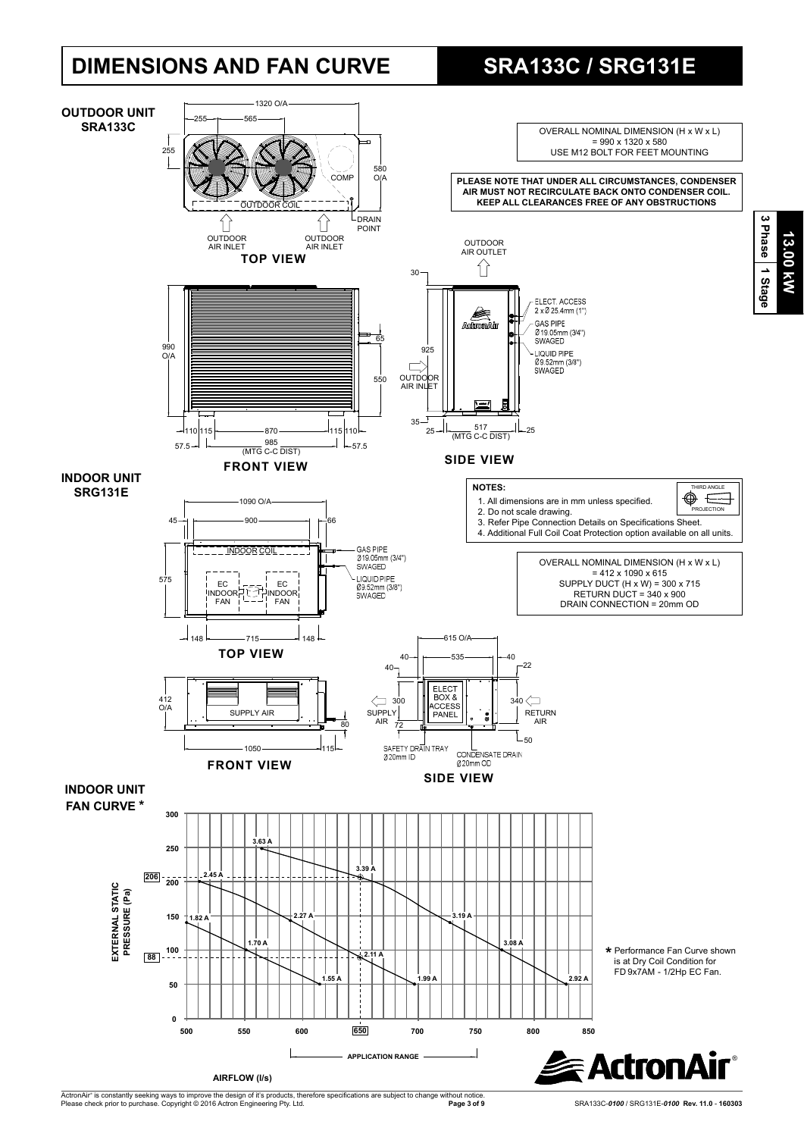## **DIMENSIONS AND FAN CURVE SRA133C / SRG131E**



ActronAir® is constantly seeking ways to improve the design of it's products, therefore specifications are subject to change without notice.<br>Please check prior to purchase. Copyright © 2016 Actron Engineering Pty. Ltd.

**Page 3 of 9** SRA133C-*0100* / SRG131E-*0100* **Rev. 11.0** - **160303**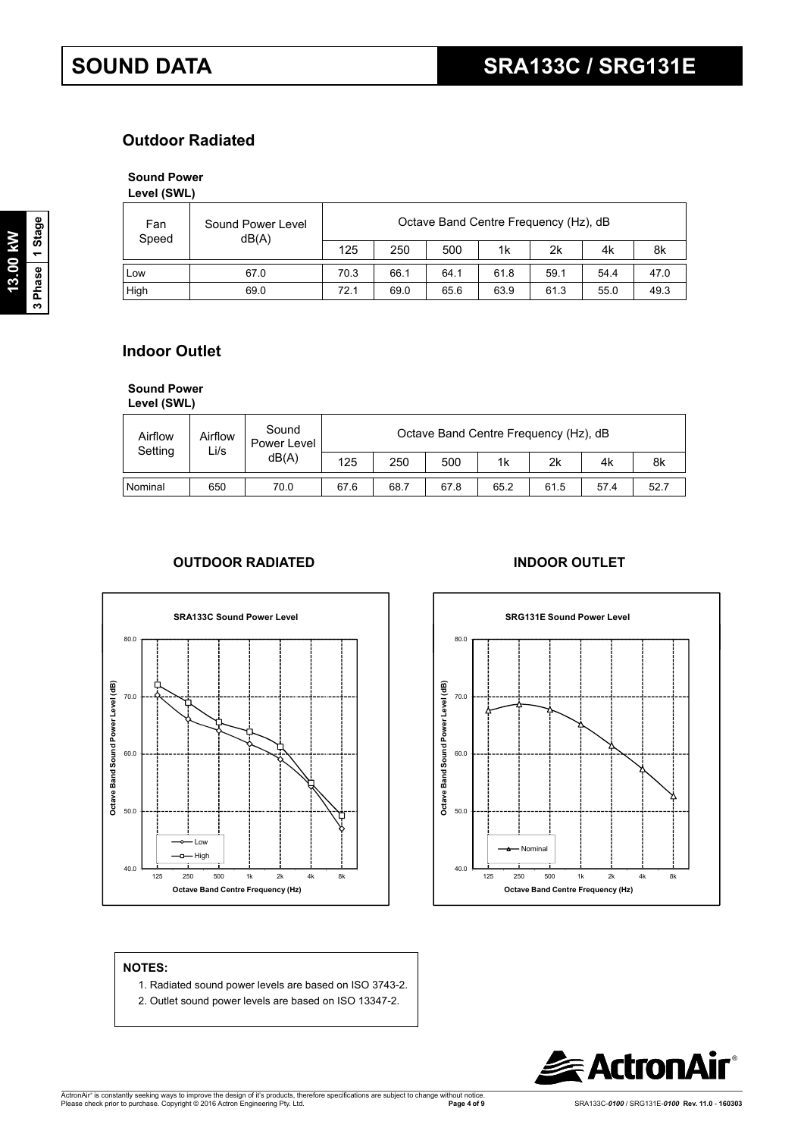### **Outdoor Radiated**

### **Sound Power**

**Level (SWL)**

| Fan<br>Speed | Sound Power Level<br>dB(A) |      | Octave Band Centre Frequency (Hz), dB |      |      |      |      |      |  |  |  |
|--------------|----------------------------|------|---------------------------------------|------|------|------|------|------|--|--|--|
|              |                            | 125  | 250                                   | 500  | 1k   | 2k   | 4k   | 8k   |  |  |  |
| Low          | 67.0                       | 70.3 | 66.1                                  | 64.1 | 61.8 | 59.1 | 54.4 | 47.0 |  |  |  |
| High         | 69.0                       | 72.1 | 69.0                                  | 65.6 | 63.9 | 61.3 | 55.0 | 49.3 |  |  |  |

### **Indoor Outlet**

**Sound Power** 

| Level (SWL) |  |
|-------------|--|
|             |  |

| Airflow<br>Setting | Airflow<br>Li/s | Sound<br>Power Level |      |      |      |      | Octave Band Centre Frequency (Hz), dB |      |      |
|--------------------|-----------------|----------------------|------|------|------|------|---------------------------------------|------|------|
|                    |                 | dB(A)                | 125  | 250  | 500  | 1k   | 2k                                    | 4k   | 8k   |
| Nominal            | 650             | 70.0                 | 67.6 | 68.7 | 67.8 | 65.2 | 61.5                                  | 57.4 | 52.7 |

#### **OUTDOOR RADIATED INDOOR OUTLET**





#### **NOTES:**

- 1. Radiated sound power levels are based on ISO 3743-2.
- 2. Outlet sound power levels are based on ISO 13347-2.

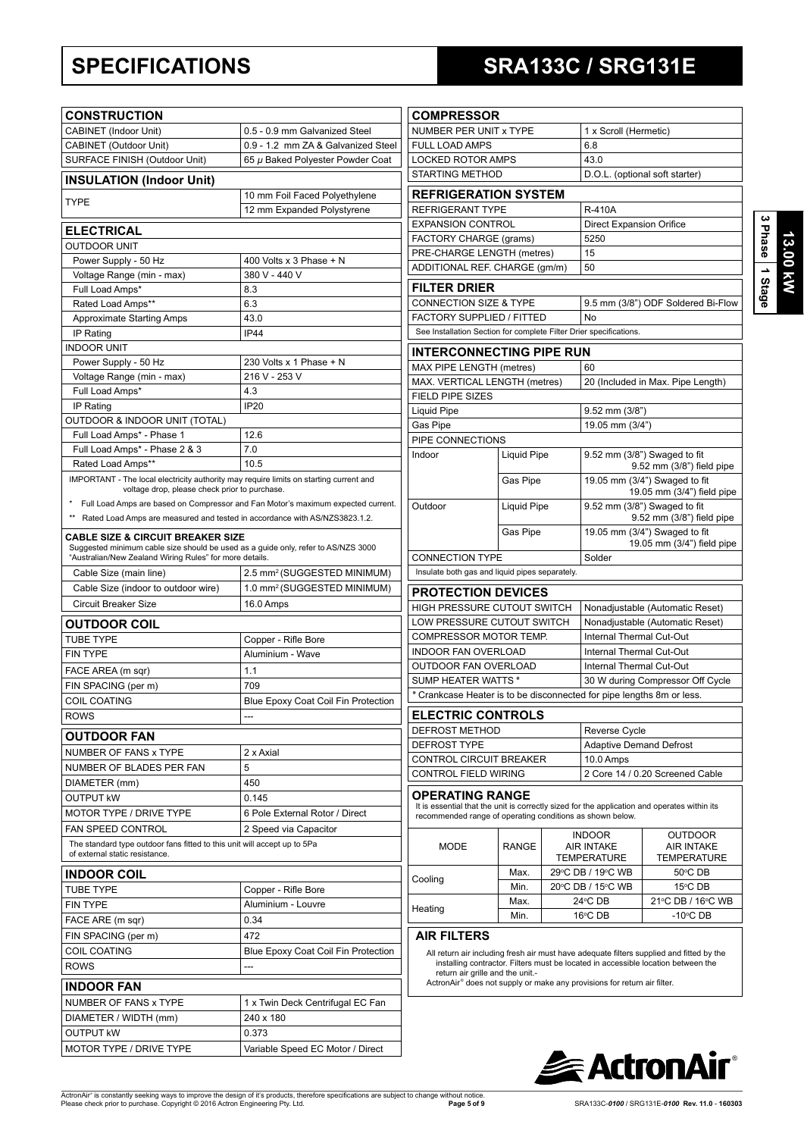## **SPECIFICATIONS SRA133C / SRG131E**

**13.00 kW 3 Phase 1 Stage**

| <b>CONSTRUCTION</b>                                                                                                                                                                          |                                                                                  |
|----------------------------------------------------------------------------------------------------------------------------------------------------------------------------------------------|----------------------------------------------------------------------------------|
| CABINET (Indoor Unit)                                                                                                                                                                        | 0.5 - 0.9 mm Galvanized Steel                                                    |
| CABINET (Outdoor Unit)                                                                                                                                                                       | 0.9 - 1.2 mm ZA & Galvanized Steel                                               |
| SURFACE FINISH (Outdoor Unit)                                                                                                                                                                | 65 µ Baked Polyester Powder Coat                                                 |
| <b>INSULATION (Indoor Unit)</b>                                                                                                                                                              |                                                                                  |
| TYPE                                                                                                                                                                                         | 10 mm Foil Faced Polyethylene                                                    |
|                                                                                                                                                                                              | 12 mm Expanded Polystyrene                                                       |
| <b>ELECTRICAL</b>                                                                                                                                                                            |                                                                                  |
| <b>OUTDOOR UNIT</b>                                                                                                                                                                          |                                                                                  |
| Power Supply - 50 Hz                                                                                                                                                                         | 400 Volts x 3 Phase + N                                                          |
| Voltage Range (min - max)                                                                                                                                                                    | 380 V - 440 V                                                                    |
| Full Load Amps*                                                                                                                                                                              | 8.3                                                                              |
| Rated Load Amps**                                                                                                                                                                            | 6.3                                                                              |
| <b>Approximate Starting Amps</b>                                                                                                                                                             | 43.0                                                                             |
| IP Rating                                                                                                                                                                                    | <b>IP44</b>                                                                      |
| <b>INDOOR UNIT</b>                                                                                                                                                                           |                                                                                  |
| Power Supply - 50 Hz                                                                                                                                                                         | 230 Volts x 1 Phase + N<br>216 V - 253 V                                         |
| Voltage Range (min - max)<br>Full Load Amps*                                                                                                                                                 | 4.3                                                                              |
| IP Rating                                                                                                                                                                                    | <b>IP20</b>                                                                      |
| OUTDOOR & INDOOR UNIT (TOTAL)                                                                                                                                                                |                                                                                  |
| Full Load Amps* - Phase 1                                                                                                                                                                    | 12.6                                                                             |
| Full Load Amps* - Phase 2 & 3                                                                                                                                                                | 7.0                                                                              |
| Rated Load Amps**                                                                                                                                                                            | 10.5                                                                             |
| IMPORTANT - The local electricity authority may require limits on starting current and                                                                                                       |                                                                                  |
| voltage drop, please check prior to purchase.                                                                                                                                                |                                                                                  |
|                                                                                                                                                                                              | Full Load Amps are based on Compressor and Fan Motor's maximum expected current. |
| Rated Load Amps are measured and tested in accordance with AS/NZS3823.1.2.                                                                                                                   |                                                                                  |
| <b>CABLE SIZE &amp; CIRCUIT BREAKER SIZE</b><br>Suggested minimum cable size should be used as a guide only, refer to AS/NZS 3000<br>"Australian/New Zealand Wiring Rules" for more details. |                                                                                  |
| Cable Size (main line)                                                                                                                                                                       | 2.5 mm <sup>2</sup> (SUGGESTED MINIMUM)                                          |
| Cable Size (indoor to outdoor wire)                                                                                                                                                          | 1.0 mm <sup>2</sup> (SUGGESTED MINIMUM)                                          |
| <b>Circuit Breaker Size</b>                                                                                                                                                                  | 16.0 Amps                                                                        |
|                                                                                                                                                                                              |                                                                                  |
| <b>OUTDOOR COIL</b>                                                                                                                                                                          |                                                                                  |
| <b>TUBE TYPE</b><br><b>FIN TYPE</b>                                                                                                                                                          | Copper - Rifle Bore<br>Aluminium - Wave                                          |
|                                                                                                                                                                                              |                                                                                  |
| FACE AREA (m sqr)                                                                                                                                                                            | 1.1                                                                              |
| FIN SPACING (per m)<br>COIL COATING                                                                                                                                                          | 709                                                                              |
|                                                                                                                                                                                              | Blue Epoxy Coat Coil Fin Protection                                              |
| <b>ROWS</b>                                                                                                                                                                                  | $---$                                                                            |
| <b>OUTDOOR FAN</b>                                                                                                                                                                           |                                                                                  |
| NUMBER OF FANS x TYPE                                                                                                                                                                        | 2 x Axial                                                                        |
| NUMBER OF BLADES PER FAN                                                                                                                                                                     | 5                                                                                |
| DIAMETER (mm)                                                                                                                                                                                | 450                                                                              |
| <b>OUTPUT kW</b>                                                                                                                                                                             | 0.145                                                                            |
| <b>MOTOR TYPE / DRIVE TYPE</b>                                                                                                                                                               | 6 Pole External Rotor / Direct                                                   |
| FAN SPEED CONTROL                                                                                                                                                                            | 2 Speed via Capacitor                                                            |
| The standard type outdoor fans fitted to this unit will accept up to 5Pa<br>of external static resistance.                                                                                   |                                                                                  |
| <b>INDOOR COIL</b>                                                                                                                                                                           |                                                                                  |
| <b>TUBE TYPE</b>                                                                                                                                                                             | Copper - Rifle Bore                                                              |
| <b>FIN TYPE</b>                                                                                                                                                                              | Aluminium - Louvre                                                               |
| FACE ARE (m sqr)                                                                                                                                                                             | 0.34                                                                             |
| FIN SPACING (per m)                                                                                                                                                                          | 472                                                                              |
| <b>COIL COATING</b>                                                                                                                                                                          | Blue Epoxy Coat Coil Fin Protection                                              |
| <b>ROWS</b>                                                                                                                                                                                  | ---                                                                              |
| <b>INDOOR FAN</b>                                                                                                                                                                            |                                                                                  |
| NUMBER OF FANS x TYPE                                                                                                                                                                        | 1 x Twin Deck Centrifugal EC Fan                                                 |
| DIAMETER / WIDTH (mm)                                                                                                                                                                        | 240 x 180                                                                        |
| OUTPUT kW                                                                                                                                                                                    | 0.373                                                                            |
|                                                                                                                                                                                              |                                                                                  |
| MOTOR TYPE / DRIVE TYPE                                                                                                                                                                      | Variable Speed EC Motor / Direct                                                 |

| <b>COMPRESSOR</b>                                                                                                                                                                   |                    |  |                                                                    |                                                           |  |  |
|-------------------------------------------------------------------------------------------------------------------------------------------------------------------------------------|--------------------|--|--------------------------------------------------------------------|-----------------------------------------------------------|--|--|
| NUMBER PER UNIT x TYPE                                                                                                                                                              |                    |  | 1 x Scroll (Hermetic)                                              |                                                           |  |  |
| <b>FULL LOAD AMPS</b>                                                                                                                                                               |                    |  | 6.8                                                                |                                                           |  |  |
| <b>LOCKED ROTOR AMPS</b>                                                                                                                                                            |                    |  | 43.0                                                               |                                                           |  |  |
| <b>STARTING METHOD</b>                                                                                                                                                              |                    |  |                                                                    | D.O.L. (optional soft starter)                            |  |  |
| <b>REFRIGERATION SYSTEM</b>                                                                                                                                                         |                    |  |                                                                    |                                                           |  |  |
| REFRIGERANT TYPE                                                                                                                                                                    |                    |  | R-410A                                                             |                                                           |  |  |
| <b>EXPANSION CONTROL</b>                                                                                                                                                            |                    |  | <b>Direct Expansion Orifice</b>                                    |                                                           |  |  |
| FACTORY CHARGE (grams)                                                                                                                                                              |                    |  | 5250                                                               |                                                           |  |  |
| PRE-CHARGE LENGTH (metres)                                                                                                                                                          |                    |  | 15                                                                 |                                                           |  |  |
| ADDITIONAL REF. CHARGE (qm/m)                                                                                                                                                       |                    |  | 50                                                                 |                                                           |  |  |
|                                                                                                                                                                                     |                    |  |                                                                    |                                                           |  |  |
| <b>FILTER DRIER</b>                                                                                                                                                                 |                    |  |                                                                    |                                                           |  |  |
| <b>CONNECTION SIZE &amp; TYPE</b>                                                                                                                                                   |                    |  |                                                                    | 9.5 mm (3/8") ODF Soldered Bi-Flow                        |  |  |
| FACTORY SUPPLIED / FITTED                                                                                                                                                           |                    |  | No                                                                 |                                                           |  |  |
| See Installation Section for complete Filter Drier specifications.                                                                                                                  |                    |  |                                                                    |                                                           |  |  |
| <b>INTERCONNECTING PIPE RUN</b>                                                                                                                                                     |                    |  |                                                                    |                                                           |  |  |
| MAX PIPE LENGTH (metres)                                                                                                                                                            |                    |  | 60                                                                 |                                                           |  |  |
| MAX. VERTICAL LENGTH (metres)                                                                                                                                                       |                    |  |                                                                    | 20 (Included in Max. Pipe Length)                         |  |  |
| <b>FIELD PIPE SIZES</b>                                                                                                                                                             |                    |  |                                                                    |                                                           |  |  |
| <b>Liquid Pipe</b>                                                                                                                                                                  |                    |  | $9.52$ mm $(3/8")$                                                 |                                                           |  |  |
| Gas Pipe                                                                                                                                                                            |                    |  | 19.05 mm (3/4")                                                    |                                                           |  |  |
| PIPE CONNECTIONS                                                                                                                                                                    |                    |  |                                                                    |                                                           |  |  |
| Indoor                                                                                                                                                                              | <b>Liquid Pipe</b> |  | 9.52 mm (3/8") Swaged to fit<br>9.52 mm (3/8") field pipe          |                                                           |  |  |
|                                                                                                                                                                                     | Gas Pipe           |  | 19.05 mm (3/4") Swaged to fit<br>19.05 mm (3/4") field pipe        |                                                           |  |  |
| Outdoor                                                                                                                                                                             | <b>Liquid Pipe</b> |  | 9.52 mm (3/8") Swaged to fit<br>9.52 mm (3/8") field pipe          |                                                           |  |  |
|                                                                                                                                                                                     | Gas Pipe           |  | 19.05 mm (3/4") Swaged to fit<br>19.05 mm (3/4") field pipe        |                                                           |  |  |
| <b>CONNECTION TYPE</b>                                                                                                                                                              |                    |  | Solder                                                             |                                                           |  |  |
| Insulate both gas and liquid pipes separately.                                                                                                                                      |                    |  |                                                                    |                                                           |  |  |
| <b>PROTECTION DEVICES</b>                                                                                                                                                           |                    |  |                                                                    |                                                           |  |  |
| HIGH PRESSURE CUTOUT SWITCH                                                                                                                                                         |                    |  |                                                                    |                                                           |  |  |
| LOW PRESSURE CUTOUT SWITCH                                                                                                                                                          |                    |  | Nonadjustable (Automatic Reset)<br>Nonadjustable (Automatic Reset) |                                                           |  |  |
|                                                                                                                                                                                     |                    |  |                                                                    |                                                           |  |  |
|                                                                                                                                                                                     |                    |  |                                                                    |                                                           |  |  |
| COMPRESSOR MOTOR TEMP.                                                                                                                                                              |                    |  | Internal Thermal Cut-Out                                           |                                                           |  |  |
| INDOOR FAN OVERLOAD                                                                                                                                                                 |                    |  | Internal Thermal Cut-Out                                           |                                                           |  |  |
| OUTDOOR FAN OVERLOAD                                                                                                                                                                |                    |  | Internal Thermal Cut-Out                                           |                                                           |  |  |
| <b>SUMP HEATER WATTS*</b>                                                                                                                                                           |                    |  |                                                                    | 30 W during Compressor Off Cycle                          |  |  |
| * Crankcase Heater is to be disconnected for pipe lengths 8m or less.                                                                                                               |                    |  |                                                                    |                                                           |  |  |
| <b>ELECTRIC CONTROLS</b>                                                                                                                                                            |                    |  |                                                                    |                                                           |  |  |
| <b>DEFROST METHOD</b>                                                                                                                                                               |                    |  | Reverse Cycle                                                      |                                                           |  |  |
| <b>DEFROST TYPE</b>                                                                                                                                                                 |                    |  | <b>Adaptive Demand Defrost</b>                                     |                                                           |  |  |
| CONTROL CIRCUIT BREAKER                                                                                                                                                             |                    |  | 10.0 Amps                                                          |                                                           |  |  |
| <b>CONTROL FIELD WIRING</b>                                                                                                                                                         |                    |  |                                                                    | 2 Core 14 / 0.20 Screened Cable                           |  |  |
| <b>OPERATING RANGE</b><br>It is essential that the unit is correctly sized for the application and operates within its<br>recommended range of operating conditions as shown below. |                    |  |                                                                    |                                                           |  |  |
| <b>MODE</b>                                                                                                                                                                         | <b>RANGE</b>       |  | <b>INDOOR</b><br><b>AIR INTAKE</b><br><b>TEMPERATURE</b>           | <b>OUTDOOR</b><br><b>AIR INTAKE</b><br><b>TEMPERATURE</b> |  |  |
|                                                                                                                                                                                     | Max.               |  | 29°C DB / 19°C WB                                                  | 50°C DB                                                   |  |  |
| Cooling                                                                                                                                                                             | Min.               |  | 20°C DB / 15°C WB                                                  | 15°C DB                                                   |  |  |
|                                                                                                                                                                                     |                    |  |                                                                    |                                                           |  |  |
| Heating                                                                                                                                                                             | Max.<br>Min.       |  | 24°C DB<br>16°C DB                                                 | 21°C DB / 16°C WB<br>$-10^{\circ}$ CDB                    |  |  |

All return air including fresh air must have adequate filters supplied and fitted by the<br>installing contractor. Filters must be located in accessible location between the

return air grille and the unit.-<br>ActronAir® does not supply or make any provisions for return air filter.

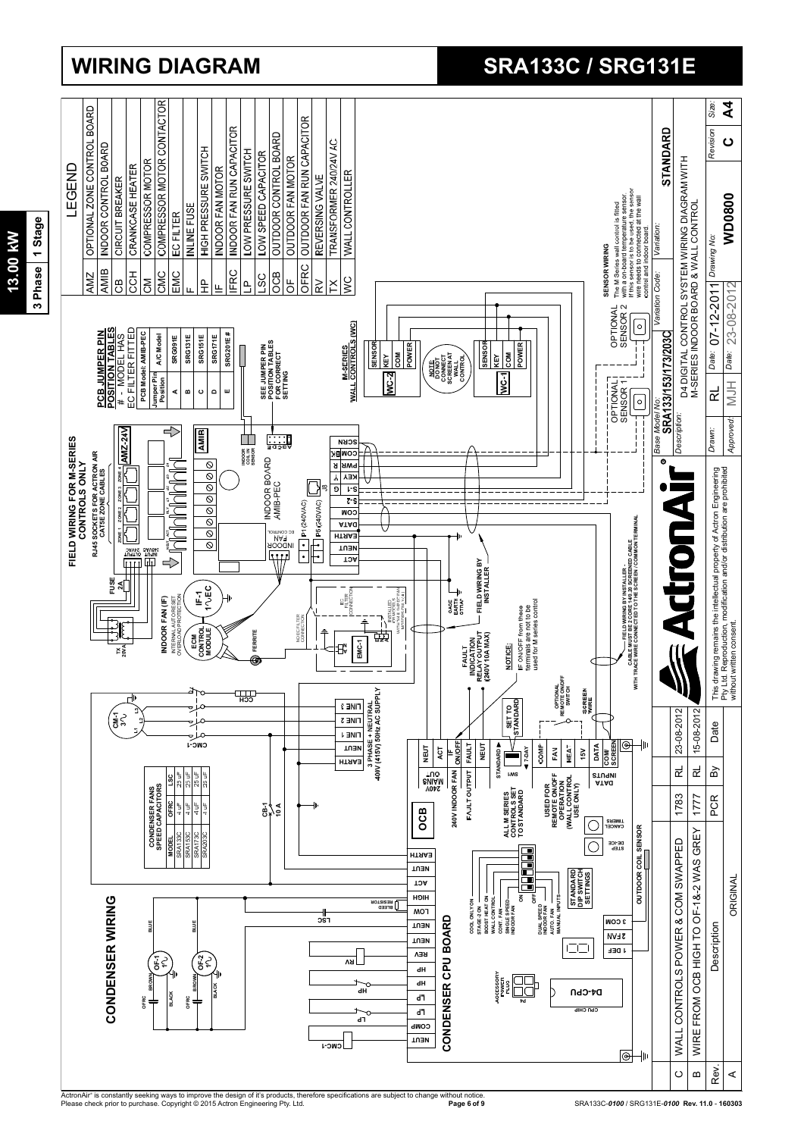

## **WIRING DIAGRAM SRA133C / SRG131E**

ActronAir® is constantly seeking ways to improve the design of it's products, therefore specifications are subject to change without notice.<br>Please check prior to purchase. Copyright © 2015 Actron Engineering Pty. Ltd.

**Page 6 of 9** SRA133C-*0100* / SRG131E-*0100* **Rev. 11.0** - **160303**

3 Phase 1 Stage **13.00 kW** 13.00 kW

**3 Phase 1 Stage**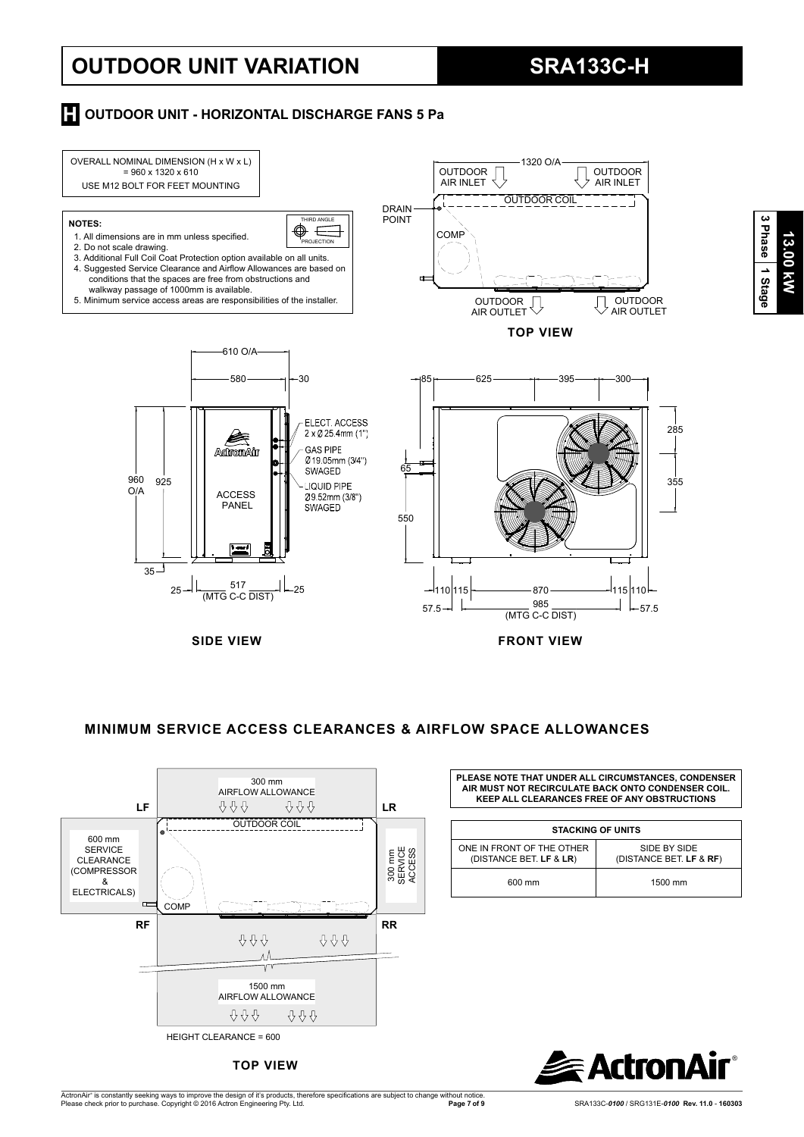## **OUTDOOR UNIT VARIATION SRA133C-H**

#### **H** OUTDOOR UNIT - HORIZONTAL DISCHARGE FANS 5 Pa



#### **MINIMUM SERVICE ACCESS CLEARANCES & AIRFLOW SPACE ALLOWANCES**



**TOP VIEW**

**PLEASE NOTE THAT UNDER ALL CIRCUMSTANCES, CONDENSER AIR MUST NOT RECIRCULATE BACK ONTO CONDENSER COIL. KEEP ALL CLEARANCES FREE OF ANY OBSTRUCTIONS**

| <b>STACKING OF UNITS</b>                             |                                         |  |  |  |  |  |
|------------------------------------------------------|-----------------------------------------|--|--|--|--|--|
| ONE IN FRONT OF THE OTHER<br>(DISTANCE BET. LF & LR) | SIDE BY SIDE<br>(DISTANCE BET. LF & RF) |  |  |  |  |  |
| 600 mm                                               | 1500 mm                                 |  |  |  |  |  |



**13.00 kW**

13.00 KW

**3 Phase**

 **1 Stage**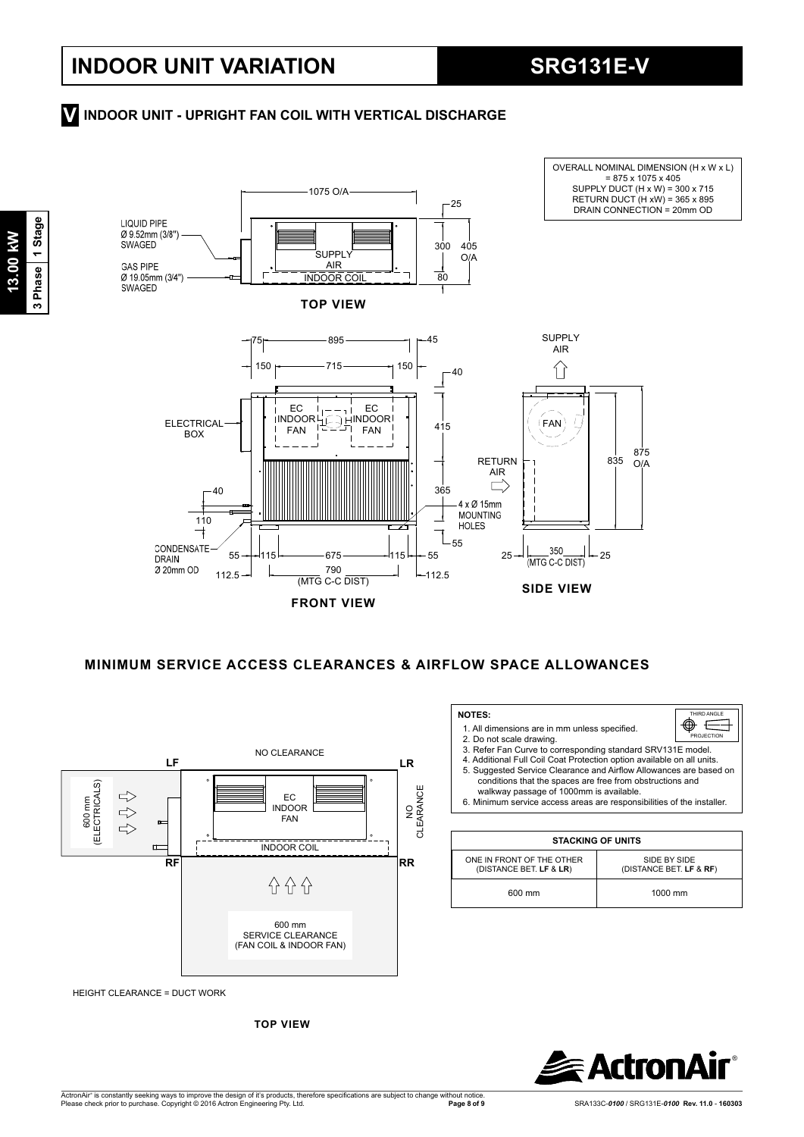OVERALL NOMINAL DIMENSION (H x W x L)

### **INDOOR UNIT - UPRIGHT FAN COIL WITH VERTICAL DISCHARGE V**



**FRONT VIEW**

 **MINIMUM SERVICE ACCESS CLEARANCES & AIRFLOW SPACE ALLOWANCES**

 **NOTES:** 

2.Do not scale drawing.

ONE IN FRONT OF THE OTHER (DISTANCE BET. **LF** & **LR**)

1. All dimensions are in mm unless specified.

walkway passage of 1000mm is available.

3.Refer Fan Curve to corresponding standard SRV131E model. 4. Additional Full Coil Coat Protection option available on all units.<br>5. Suggested Service Clearance and Airflow Allowances are based on conditions that the spaces are free from obstructions and

6.Minimum service access areas are responsibilities of the installer.

**STACKING OF UNITS**

600 mm 1000 mm



HEIGHT CLEARANCE = DUCT WORK

**TOP VIEW**





ActronAir® is constantly seeking ways to improve the design of it's products, therefore specifications are subject to change without notice.<br>Please check prior to purchase. Copyright © 2016 Actron Engineering Pty. Ltd.

SIDE BY SIDE (DISTANCE BET. **LF** & **RF**)

HIRD ANGLE .<br>PROJECTIO

 $\mathbf{\Phi} \equiv$